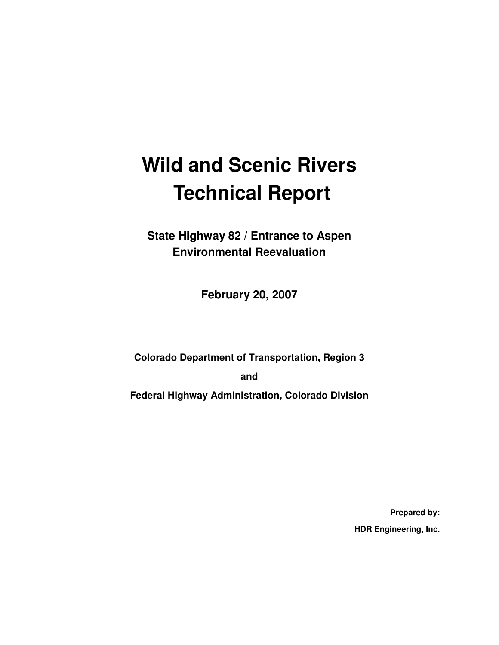# **Wild and Scenic Rivers Technical Report**

**State Highway 82 / Entrance to Aspen Environmental Reevaluation** 

**February 20, 2007** 

**Colorado Department of Transportation, Region 3** 

**and** 

**Federal Highway Administration, Colorado Division** 

**Prepared by: HDR Engineering, Inc.**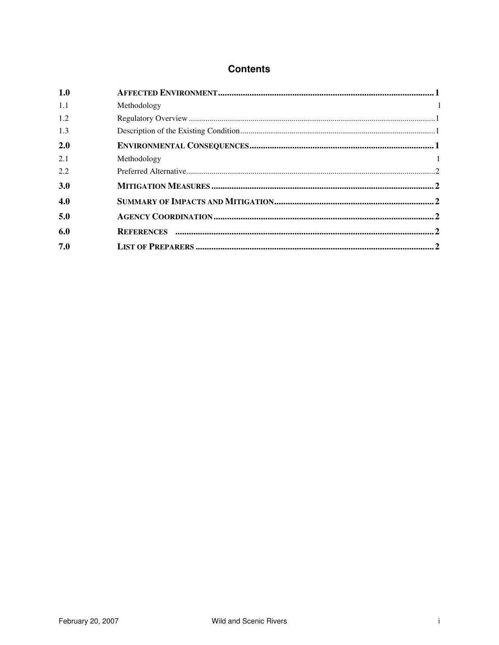#### **Contents**

| 1.0        |             |  |
|------------|-------------|--|
| 1.1        | Methodology |  |
| 1.2        |             |  |
| 1.3        |             |  |
| 2.0        |             |  |
| 2.1        | Methodology |  |
| 2.2        |             |  |
| <b>3.0</b> |             |  |
| 4.0        |             |  |
| 5.0        |             |  |
| 6.0        |             |  |
| 7.0        |             |  |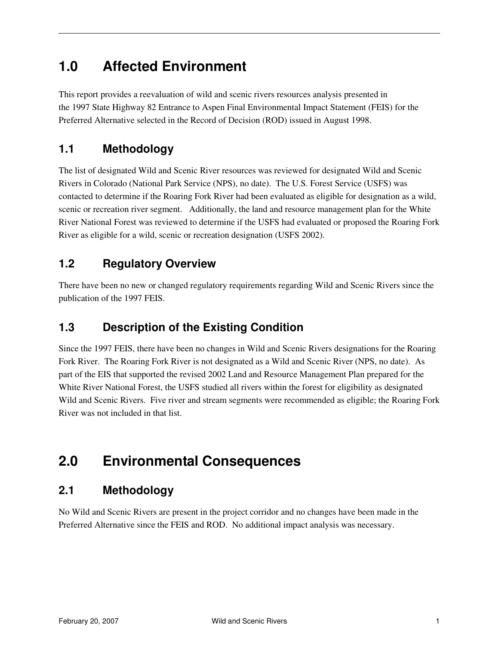## **1.0 Affected Environment**

This report provides a reevaluation of wild and scenic rivers resources analysis presented in the 1997 State Highway 82 Entrance to Aspen Final Environmental Impact Statement (FEIS) for the Preferred Alternative selected in the Record of Decision (ROD) issued in August 1998.

#### **1.1 Methodology**

The list of designated Wild and Scenic River resources was reviewed for designated Wild and Scenic Rivers in Colorado (National Park Service (NPS), no date). The U.S. Forest Service (USFS) was contacted to determine if the Roaring Fork River had been evaluated as eligible for designation as a wild, scenic or recreation river segment. Additionally, the land and resource management plan for the White River National Forest was reviewed to determine if the USFS had evaluated or proposed the Roaring Fork River as eligible for a wild, scenic or recreation designation (USFS 2002).

#### **1.2 Regulatory Overview**

There have been no new or changed regulatory requirements regarding Wild and Scenic Rivers since the publication of the 1997 FEIS.

#### **1.3 Description of the Existing Condition**

Since the 1997 FEIS, there have been no changes in Wild and Scenic Rivers designations for the Roaring Fork River. The Roaring Fork River is not designated as a Wild and Scenic River (NPS, no date). As part of the EIS that supported the revised 2002 Land and Resource Management Plan prepared for the White River National Forest, the USFS studied all rivers within the forest for eligibility as designated Wild and Scenic Rivers. Five river and stream segments were recommended as eligible; the Roaring Fork River was not included in that list.

## **2.0 Environmental Consequences**

### **2.1 Methodology**

No Wild and Scenic Rivers are present in the project corridor and no changes have been made in the Preferred Alternative since the FEIS and ROD. No additional impact analysis was necessary.